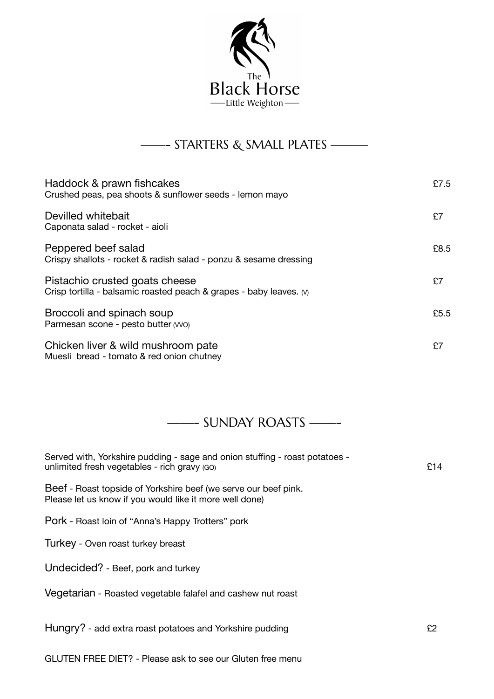

## ——- STARTERS & SMALL PLATES ———

| Haddock & prawn fishcakes<br>Crushed peas, pea shoots & sunflower seeds - lemon mayo                  | £7.5 |
|-------------------------------------------------------------------------------------------------------|------|
| Devilled whitebait<br>Caponata salad - rocket - aioli                                                 | £7   |
| Peppered beef salad<br>Crispy shallots - rocket & radish salad - ponzu & sesame dressing              | £8.5 |
| Pistachio crusted goats cheese<br>Crisp tortilla - balsamic roasted peach & grapes - baby leaves. (v) | £7   |
| Broccoli and spinach soup<br>Parmesan scone - pesto butter (VVO)                                      | £5.5 |
| Chicken liver & wild mushroom pate<br>Muesli bread - tomato & red onion chutney                       | £7   |

## ——- SUNDAY ROASTS ——-

| Served with, Yorkshire pudding - sage and onion stuffing - roast potatoes -<br>unlimited fresh vegetables - rich gravy (GO) | £14 |
|-----------------------------------------------------------------------------------------------------------------------------|-----|
| Beef - Roast topside of Yorkshire beef (we serve our beef pink.<br>Please let us know if you would like it more well done)  |     |
| Pork - Roast loin of "Anna's Happy Trotters" pork                                                                           |     |
| Turkey - Oven roast turkey breast                                                                                           |     |
| Undecided? - Beef, pork and turkey                                                                                          |     |
| Vegetarian - Roasted vegetable falafel and cashew nut roast                                                                 |     |
| Hungry? - add extra roast potatoes and Yorkshire pudding                                                                    | £2  |

GLUTEN FREE DIET? - Please ask to see our Gluten free menu